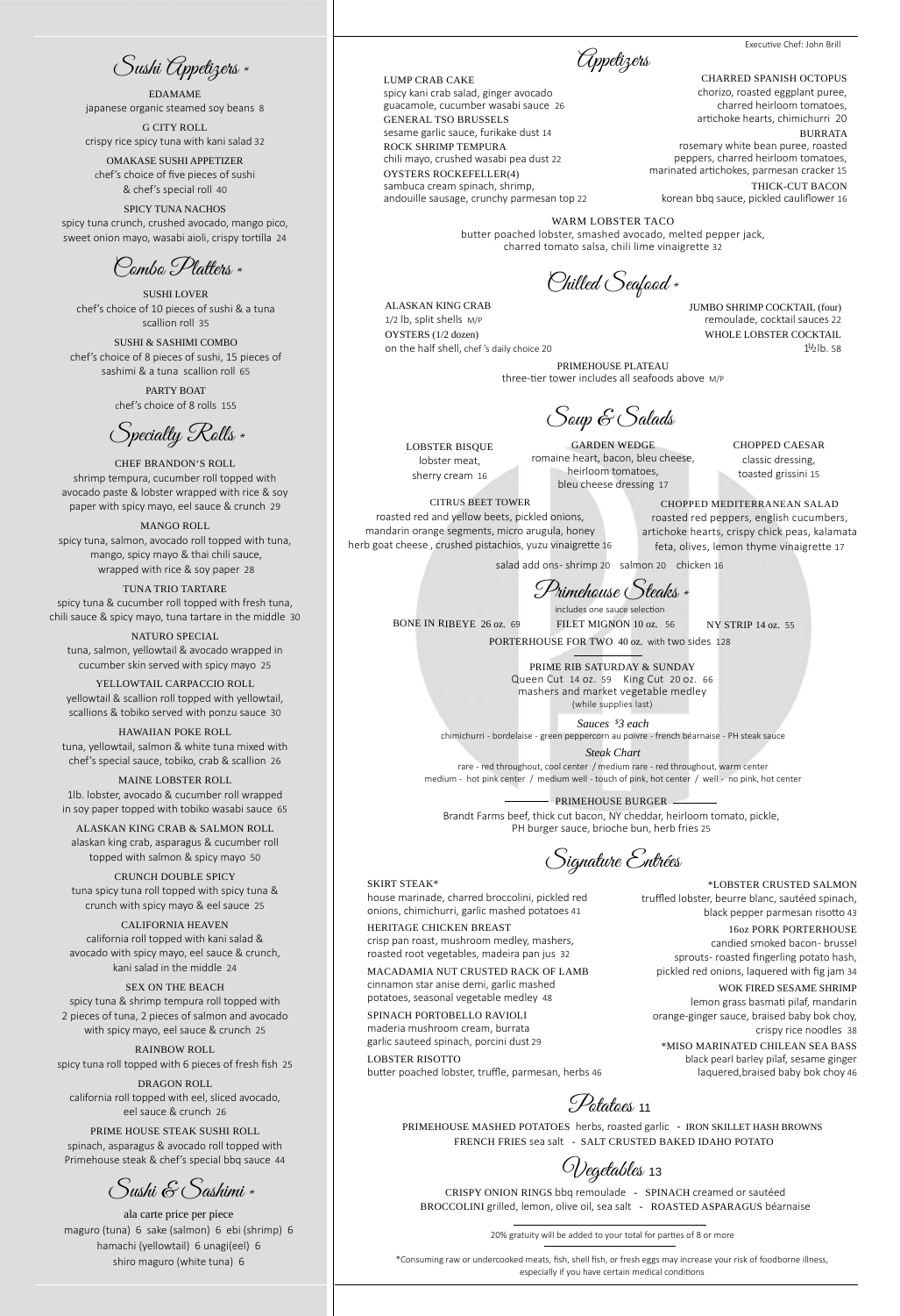NY STRIP 14 oz. 55

## SKIRT STEAK\*

house marinade, charred broccolini, pickled red onions, chimichurri, garlic mashed potatoes 41

HERITAGE CHICKEN BREAST

crisp pan roast, mushroom medley, mashers, roasted root vegetables, madeira pan jus 32

*Sauces \$ 3 each* chimichurri - bordelaise - green peppercorn au poivre - french béarnaise - PH steak sauce

MACADAMIA NUT CRUSTED RACK OF LAMB cinnamon star anise demi, garlic mashed potatoes, seasonal vegetable medley 48

*Steak Chart* rare - red throughout, cool center / medium rare - red throughout, warm center medium - hot pink center / medium well - touch of pink, hot center / well - no pink, hot center

SPINACH PORTOBELLO RAVIOLI maderia mushroom cream, burrata

garlic sauteed spinach, porcini dust 29 LOBSTER RISOTTO

butter poached lobster, truffle, parmesan, herbs 46

Potatoes 11

Signature Entrées

PRIMEHOUSE PLATEAU three-tier tower includes all seafoods above M/P

PRIMEHOUSE BURGER Brandt Farms beef, thick cut bacon, NY cheddar, heirloom tomato, pickle, PH burger sauce, brioche bun, herb fries 25

BONE IN RIBEYE 26 oz. 69

Primehouse Steaks \*

CHARRED SPANISH OCTOPUS chorizo, roasted eggplant puree, charred heirloom tomatoes, artichoke hearts, chimichurri 20

BURRATA rosemary white bean puree, roasted peppers, charred heirloom tomatoes, marinated artichokes, parmesan cracker 15 THICK-CUT BACON

korean bbq sauce, pickled cauliflower 16

Chilled Seafood \*

Appetizers

Soup & Salads

LOBSTER BISQUE lobster meat, sherry cream 16

LUMP CRAB CAKE spicy kani crab salad, ginger avocado guacamole, cucumber wasabi sauce 26 GENERAL TSO BRUSSELS sesame garlic sauce, furikake dust 14 ROCK SHRIMP TEMPURA chili mayo, crushed wasabi pea dust 22 OYSTERS ROCKEFELLER(4) sambuca cream spinach, shrimp, andouille sausage, crunchy parmesan top 22

> CHOPPED CAESAR classic dressing, toasted grissini 15

CITRUS BEET TOWER roasted red and yellow beets, pickled onions, mandarin orange segments, micro arugula, honey herb goat cheese , crushed pistachios, yuzu vinaigrette 16

GARDEN WEDGE romaine heart, bacon, bleu cheese, heirloom tomatoes, bleu cheese dressing 17

PORTERHOUSE FOR TWO 40 oz. with two sides 128

\*LOBSTER CRUSTED SALMON truffled lobster, beurre blanc, sautéed spinach,

black pepper parmesan risotto 43

16oz PORK PORTERHOUSE candied smoked bacon- brussel sprouts- roasted fingerling potato hash, pickled red onions, laquered with fig jam 34

WOK FIRED SESAME SHRIMP

lemon grass basmati pilaf, mandarin orange-ginger sauce, braised baby bok choy, crispy rice noodles 38

PRIMEHOUSE MASHED POTATOES herbs, roasted garlic - IRON SKILLET HASH BROWNS FRENCH FRIES sea salt - SALT CRUSTED BAKED IDAHO POTATO

\*MISO MARINATED CHILEAN SEA BASS black pearl barley pilaf, sesame ginger laquered,braised baby bok choy 46

JUMBO SHRIMP COCKTAIL (four) remoulade, cocktail sauces 22 WHOLE LOBSTER COCKTAIL  $1^{1/2}$ lb. 58

CHEF BRANDON'S ROLL shrimp tempura, cucumber roll topped with avocado paste & lobster wrapped with rice & soy paper with spicy mayo, eel sauce & crunch 29

## MANGO ROLL spicy tuna, salmon, avocado roll topped with tuna, mango, spicy mayo & thai chili sauce, wrapped with rice & soy paper 28

TUNA TRIO TARTARE spicy tuna & cucumber roll topped with fresh tuna, chili sauce & spicy mayo, tuna tartare in the middle 30

NATURO SPECIAL tuna, salmon, yellowtail & avocado wrapped in cucumber skin served with spicy mayo 25

YELLOWTAIL CARPACCIO ROLL yellowtail & scallion roll topped with yellowtail, scallions & tobiko served with ponzu sauce 30

HAWAIIAN POKE ROLL tuna, yellowtail, salmon & white tuna mixed with chef's special sauce, tobiko, crab & scallion 26

FILET MIGNON 10 oz. 56 includes one sauce selection

MAINE LOBSTER ROLL 1lb. lobster, avocado & cucumber roll wrapped in soy paper topped with tobiko wasabi sauce 65

ALASKAN KING CRAB & SALMON ROLL alaskan king crab, asparagus & cucumber roll topped with salmon & spicy mayo 50

CRUNCH DOUBLE SPICY tuna spicy tuna roll topped with spicy tuna & crunch with spicy mayo & eel sauce 25

CALIFORNIA HEAVEN california roll topped with kani salad & avocado with spicy mayo, eel sauce & crunch, kani salad in the middle 24

SEX ON THE BEACH spicy tuna & shrimp tempura roll topped with 2 pieces of tuna, 2 pieces of salmon and avocado with spicy mayo, eel sauce & crunch 25

RAINBOW ROLL spicy tuna roll topped with 6 pieces of fresh fish 25

DRAGON ROLL california roll topped with eel, sliced avocado, eel sauce & crunch 26

PRIME HOUSE STEAK SUSHI ROLL spinach, asparagus & avocado roll topped with Primehouse steak & chef's special bbq sauce 44

EDAMAME japanese organic steamed soy beans 8

G CITY ROLL crispy rice spicy tuna with kani salad 32

OMAKASE SUSHI APPETIZER chef's choice of five pieces of sushi & chef's special roll 40

SPICY TUNA NACHOS spicy tuna crunch, crushed avocado, mango pico, sweet onion mayo, wasabi aioli, crispy tortilla 24

SUSHI LOVER chef's choice of 10 pieces of sushi & a tuna scallion roll 35

SUSHI & SASHIMI COMBO chef's choice of 8 pieces of sushi, 15 pieces of sashimi & a tuna scallion roll 65

> PARTY BOAT chef's choice of 8 rolls 155

ala carte price per piece maguro (tuna) 6 sake (salmon) 6 ebi (shrimp) 6 hamachi (yellowtail) 6 unagi(eel) 6 shiro maguro (white tuna) 6

Vegetables <sup>13</sup>

CRISPY ONION RINGS bbq remoulade - SPINACH creamed or sautéed BROCCOLINI grilled, lemon, olive oil, sea salt - ROASTED ASPARAGUS béarnaise

ALASKAN KING CRAB 1/2 lb, split shells M/P OYSTERS (1/2 dozen) on the half shell, chef 's daily choice 20

Combo Platters \*

Specialty Rolls \*

Sushi Appetizers \*

Sushi & Sashimi \*

CHOPPED MEDITERRANEAN SALAD roasted red peppers, english cucumbers, artichoke hearts, crispy chick peas, kalamata feta, olives, lemon thyme vinaigrette 17

salad add ons- shrimp 20 salmon 20 chicken 16

WARM LOBSTER TACO butter poached lobster, smashed avocado, melted pepper jack, charred tomato salsa, chili lime vinaigrette 32

\*Consuming raw or undercooked meats, fish, shell fish, or fresh eggs may increase your risk of foodborne illness, especially if you have certain medical conditions

PRIME RIB SATURDAY & SUNDAY Queen Cut 14 oz. 59 King Cut 20 oz. 66 mashers and market vegetable medley (while supplies last)

20% gratuity will be added to your total for parties of 8 or more

Executive Chef: John Brill